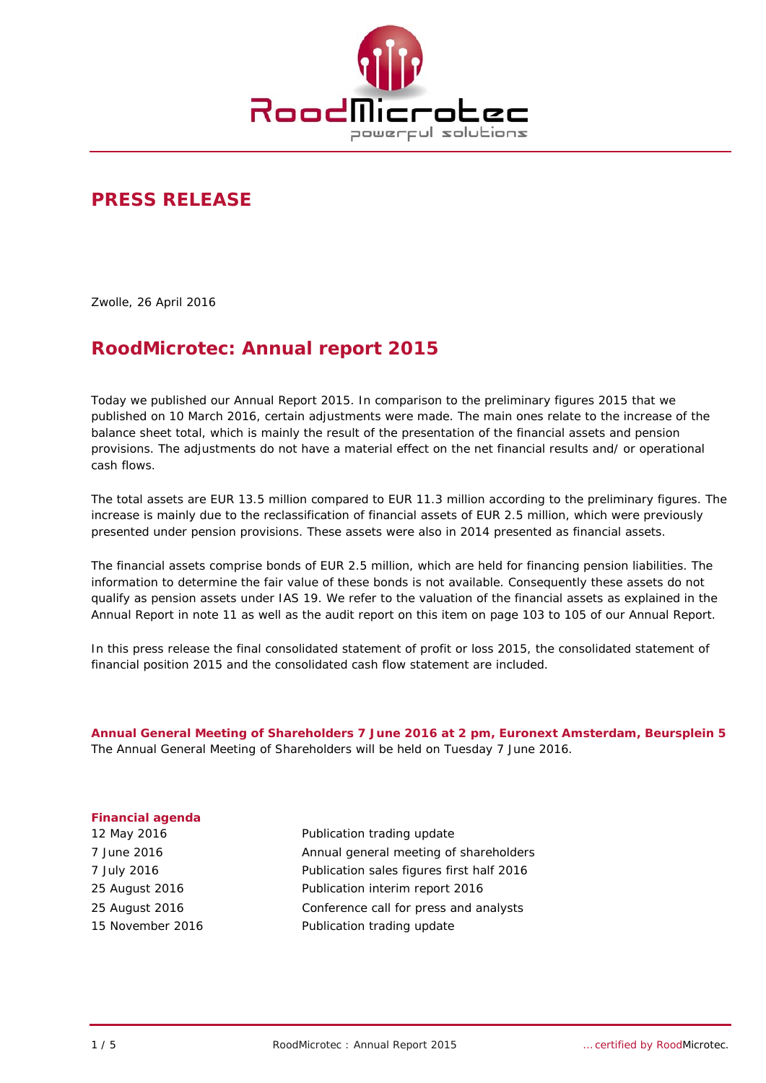

## **PRESS RELEASE**

Zwolle, 26 April 2016

# **RoodMicrotec: Annual report 2015**

Today we published our Annual Report 2015. In comparison to the preliminary figures 2015 that we published on 10 March 2016, certain adjustments were made. The main ones relate to the increase of the balance sheet total, which is mainly the result of the presentation of the financial assets and pension provisions. The adjustments do not have a material effect on the net financial results and/ or operational cash flows.

The total assets are EUR 13.5 million compared to EUR 11.3 million according to the preliminary figures. The increase is mainly due to the reclassification of financial assets of EUR 2.5 million, which were previously presented under pension provisions. These assets were also in 2014 presented as financial assets.

The financial assets comprise bonds of EUR 2.5 million, which are held for financing pension liabilities. The information to determine the fair value of these bonds is not available. Consequently these assets do not qualify as pension assets under IAS 19. We refer to the valuation of the financial assets as explained in the Annual Report in note 11 as well as the audit report on this item on page 103 to 105 of our Annual Report.

In this press release the final consolidated statement of profit or loss 2015, the consolidated statement of financial position 2015 and the consolidated cash flow statement are included.

**Annual General Meeting of Shareholders 7 June 2016 at 2 pm, Euronext Amsterdam, Beursplein 5**  The Annual General Meeting of Shareholders will be held on Tuesday 7 June 2016.

#### **Financial agenda**

12 May 2016 **Publication trading update** 7 June 2016 Annual general meeting of shareholders 7 July 2016 Publication sales figures first half 2016 25 August 2016 Publication interim report 2016 25 August 2016 Conference call for press and analysts 15 November 2016 **Publication trading update**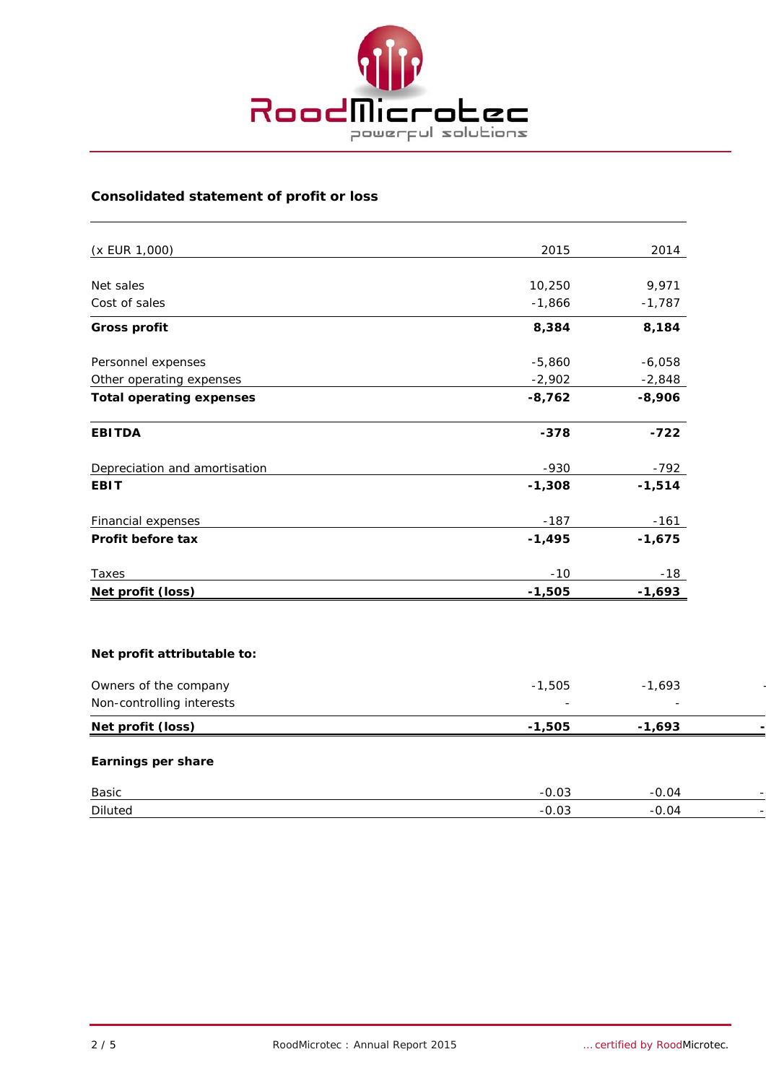

## **Consolidated statement of profit or loss**

| (x EUR 1,000)                   | 2015     | 2014     |
|---------------------------------|----------|----------|
|                                 |          |          |
| Net sales                       | 10,250   | 9,971    |
| Cost of sales                   | $-1,866$ | $-1,787$ |
| <b>Gross profit</b>             | 8,384    | 8,184    |
| Personnel expenses              | $-5,860$ | $-6,058$ |
| Other operating expenses        | $-2,902$ | $-2,848$ |
| <b>Total operating expenses</b> | $-8,762$ | $-8,906$ |
| <b>EBITDA</b>                   | $-378$   | $-722$   |
| Depreciation and amortisation   | $-930$   | $-792$   |
| <b>EBIT</b>                     | $-1,308$ | $-1,514$ |
| <b>Financial expenses</b>       | $-187$   | $-161$   |
| Profit before tax               | $-1,495$ | $-1,675$ |
| Taxes                           | $-10$    | $-18$    |
| Net profit (loss)               | $-1,505$ | $-1,693$ |
| Net profit attributable to:     |          |          |
| Owners of the company           | $-1,505$ | $-1,693$ |
| Non-controlling interests       |          |          |
| Net profit (loss)               | $-1,505$ | $-1,693$ |
| Earnings per share              |          |          |
| Basic                           | $-0.03$  | $-0.04$  |
| <b>Diluted</b>                  | $-0.03$  | $-0.04$  |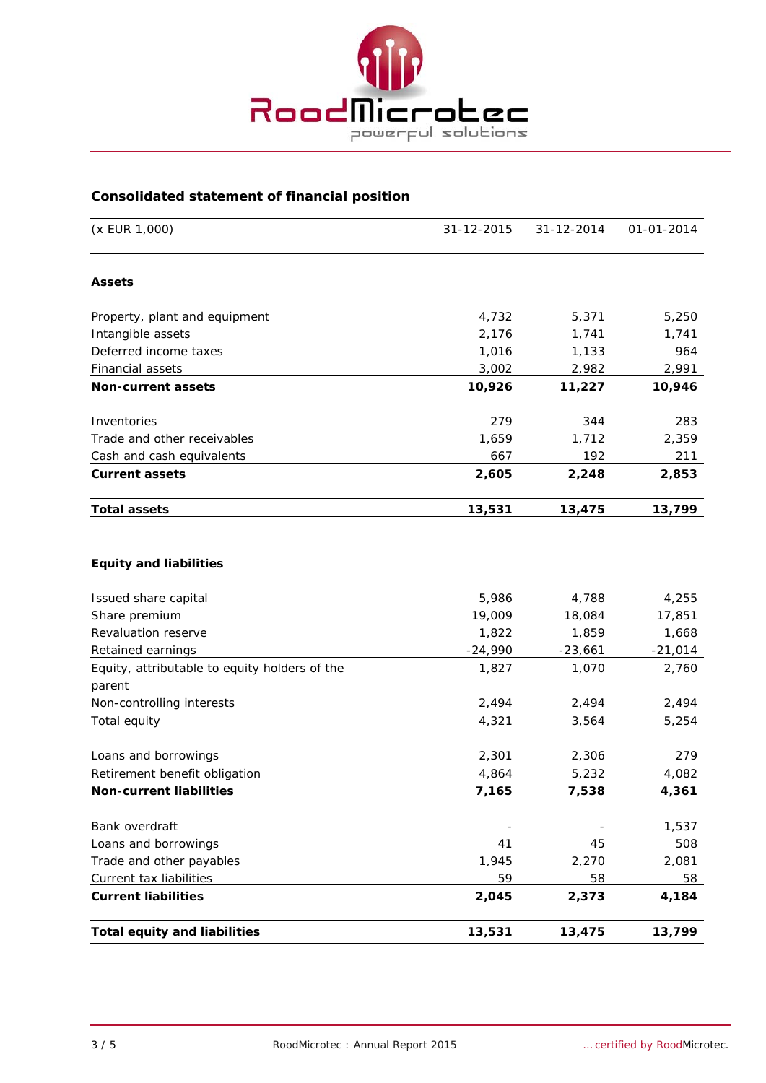

### **Consolidated statement of financial position**

| (x EUR 1,000)                                 | 31-12-2015 | 31-12-2014 | 01-01-2014 |
|-----------------------------------------------|------------|------------|------------|
| <b>Assets</b>                                 |            |            |            |
| Property, plant and equipment                 | 4,732      | 5,371      | 5,250      |
| Intangible assets                             | 2,176      | 1,741      | 1,741      |
| Deferred income taxes                         | 1,016      | 1,133      | 964        |
| <b>Financial assets</b>                       | 3,002      | 2,982      | 2,991      |
| <b>Non-current assets</b>                     | 10,926     | 11,227     | 10,946     |
| Inventories                                   | 279        | 344        | 283        |
| Trade and other receivables                   | 1,659      | 1,712      | 2,359      |
| Cash and cash equivalents                     | 667        | 192        | 211        |
| <b>Current assets</b>                         | 2,605      | 2,248      | 2,853      |
| <b>Total assets</b>                           | 13,531     | 13,475     | 13,799     |
| <b>Equity and liabilities</b>                 |            |            |            |
| Issued share capital                          | 5,986      | 4,788      | 4,255      |
| Share premium                                 | 19,009     | 18,084     | 17,851     |
| Revaluation reserve                           | 1,822      | 1,859      | 1,668      |
| Retained earnings                             | $-24,990$  | $-23,661$  | $-21,014$  |
| Equity, attributable to equity holders of the | 1,827      | 1,070      | 2,760      |
| parent                                        |            |            |            |
| Non-controlling interests                     | 2,494      | 2,494      | 2,494      |
| Total equity                                  | 4,321      | 3,564      | 5,254      |
| Loans and borrowings                          | 2,301      | 2,306      | 279        |
| Retirement benefit obligation                 | 4,864      | 5,232      | 4,082      |
| <b>Non-current liabilities</b>                | 7,165      | 7,538      | 4,361      |
| Bank overdraft                                |            |            | 1,537      |
| Loans and borrowings                          | 41         | 45         | 508        |
| Trade and other payables                      | 1,945      | 2,270      | 2,081      |
| Current tax liabilities                       | 59         | 58         | 58         |
| <b>Current liabilities</b>                    | 2,045      | 2,373      | 4,184      |
| <b>Total equity and liabilities</b>           | 13,531     | 13,475     | 13,799     |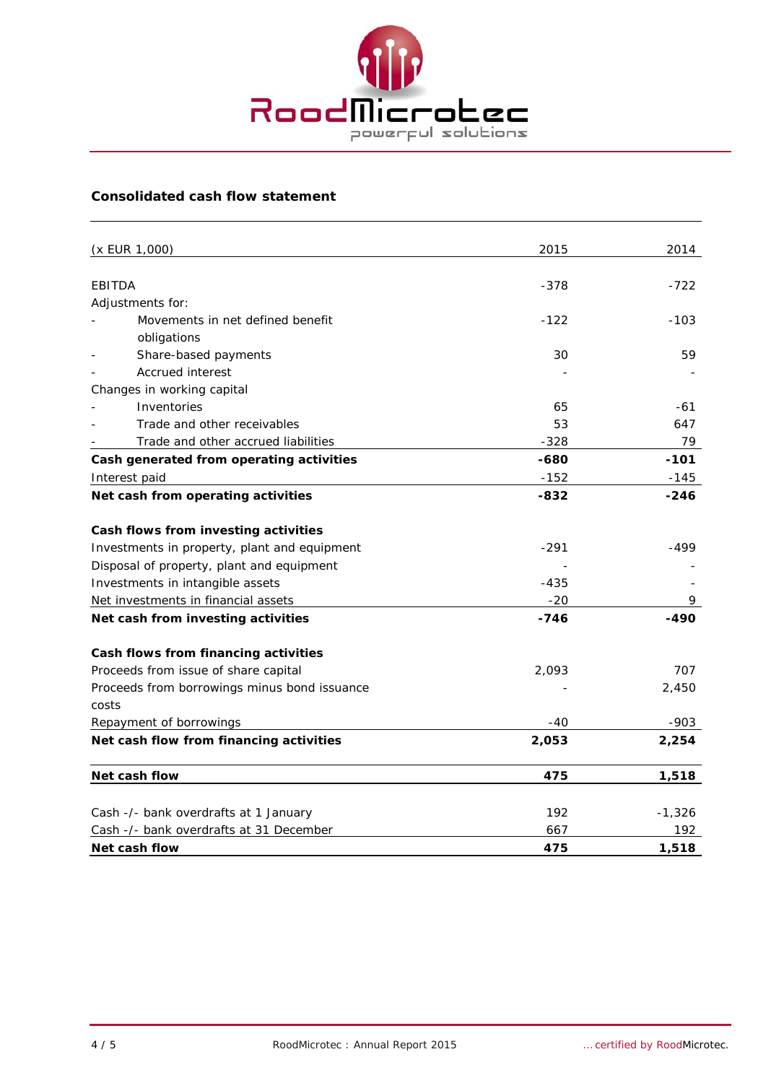

### **Consolidated cash flow statement**

|               | (x EUR 1,000)                                | 2015   | 2014     |
|---------------|----------------------------------------------|--------|----------|
|               |                                              |        |          |
| <b>EBITDA</b> |                                              | $-378$ | $-722$   |
|               | Adjustments for:                             |        |          |
|               | Movements in net defined benefit             | $-122$ | $-103$   |
|               | obligations                                  |        |          |
|               | Share-based payments                         | 30     | 59       |
|               | <b>Accrued interest</b>                      |        |          |
|               | Changes in working capital                   |        |          |
|               | Inventories                                  | 65     | -61      |
|               | Trade and other receivables                  | 53     | 647      |
|               | Trade and other accrued liabilities          | $-328$ | 79       |
|               | Cash generated from operating activities     | -680   | $-101$   |
|               | Interest paid                                | $-152$ | $-145$   |
|               | Net cash from operating activities           | $-832$ | $-246$   |
|               | Cash flows from investing activities         |        |          |
|               | Investments in property, plant and equipment | $-291$ | -499     |
|               | Disposal of property, plant and equipment    |        |          |
|               | Investments in intangible assets             | $-435$ |          |
|               | Net investments in financial assets          | $-20$  | 9        |
|               | Net cash from investing activities           | $-746$ | -490     |
|               | Cash flows from financing activities         |        |          |
|               | Proceeds from issue of share capital         | 2,093  | 707      |
|               | Proceeds from borrowings minus bond issuance |        | 2,450    |
| costs         |                                              |        |          |
|               | Repayment of borrowings                      | $-40$  | $-903$   |
|               | Net cash flow from financing activities      | 2,053  | 2,254    |
|               | Net cash flow                                | 475    | 1,518    |
|               |                                              |        |          |
|               | Cash -/- bank overdrafts at 1 January        | 192    | $-1,326$ |
|               | Cash -/- bank overdrafts at 31 December      | 667    | 192      |
|               | Net cash flow                                | 475    | 1,518    |